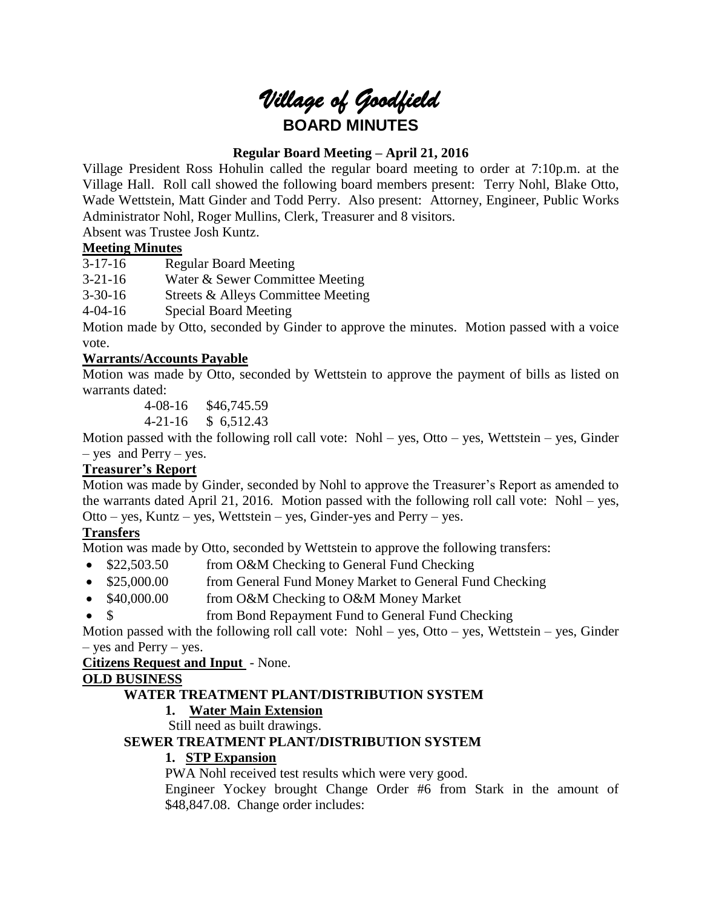# *Village of Goodfield* **BOARD MINUTES**

# **Regular Board Meeting – April 21, 2016**

Village President Ross Hohulin called the regular board meeting to order at 7:10p.m. at the Village Hall. Roll call showed the following board members present: Terry Nohl, Blake Otto, Wade Wettstein, Matt Ginder and Todd Perry. Also present: Attorney, Engineer, Public Works Administrator Nohl, Roger Mullins, Clerk, Treasurer and 8 visitors.

Absent was Trustee Josh Kuntz.

# **Meeting Minutes**

3-17-16 Regular Board Meeting

3-21-16 Water & Sewer Committee Meeting

3-30-16 Streets & Alleys Committee Meeting

4-04-16 Special Board Meeting

Motion made by Otto, seconded by Ginder to approve the minutes. Motion passed with a voice vote.

# **Warrants/Accounts Payable**

Motion was made by Otto, seconded by Wettstein to approve the payment of bills as listed on warrants dated:

4-08-16 \$46,745.59

4-21-16 \$ 6,512.43

Motion passed with the following roll call vote: Nohl – yes, Otto – yes, Wettstein – yes, Ginder – yes and Perry – yes.

# **Treasurer's Report**

Motion was made by Ginder, seconded by Nohl to approve the Treasurer's Report as amended to the warrants dated April 21, 2016. Motion passed with the following roll call vote: Nohl – yes, Otto – yes, Kuntz – yes, Wettstein – yes, Ginder-yes and Perry – yes.

# **Transfers**

Motion was made by Otto, seconded by Wettstein to approve the following transfers:

- \$22,503.50 from O&M Checking to General Fund Checking
- \$25,000.00 from General Fund Money Market to General Fund Checking
- \$40,000.00 from O&M Checking to O&M Money Market
- \$ from Bond Repayment Fund to General Fund Checking

Motion passed with the following roll call vote: Nohl – yes, Otto – yes, Wettstein – yes, Ginder – yes and Perry – yes.

**Citizens Request and Input** - None.

# **OLD BUSINESS**

# **WATER TREATMENT PLANT/DISTRIBUTION SYSTEM**

# **1. Water Main Extension**

Still need as built drawings.

# **SEWER TREATMENT PLANT/DISTRIBUTION SYSTEM**

# **1. STP Expansion**

PWA Nohl received test results which were very good.

Engineer Yockey brought Change Order #6 from Stark in the amount of \$48,847.08. Change order includes: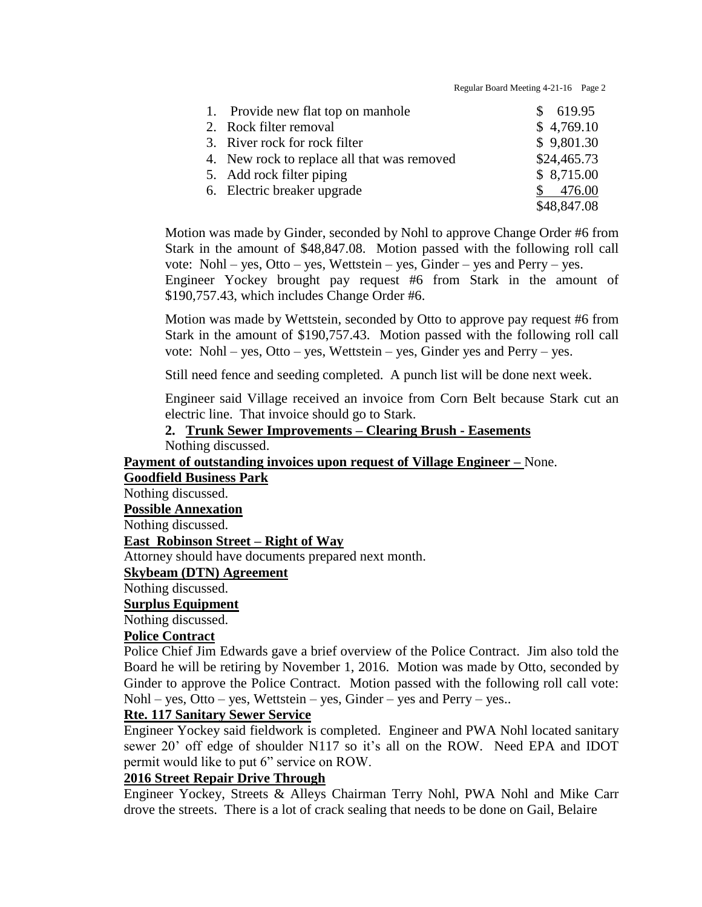Regular Board Meeting 4-21-16 Page 2

| 1. Provide new flat top on manhole          | 619.95      |
|---------------------------------------------|-------------|
| 2. Rock filter removal                      | \$4,769.10  |
| 3. River rock for rock filter               | \$9,801.30  |
| 4. New rock to replace all that was removed | \$24,465.73 |
| 5. Add rock filter piping                   | \$8,715.00  |
| 6. Electric breaker upgrade                 | 476.00      |
|                                             | \$48,847.08 |

Motion was made by Ginder, seconded by Nohl to approve Change Order #6 from Stark in the amount of \$48,847.08. Motion passed with the following roll call vote: Nohl – yes, Otto – yes, Wettstein – yes, Ginder – yes and Perry – yes.

Engineer Yockey brought pay request #6 from Stark in the amount of \$190,757.43, which includes Change Order #6.

Motion was made by Wettstein, seconded by Otto to approve pay request #6 from Stark in the amount of \$190,757.43. Motion passed with the following roll call vote: Nohl – yes, Otto – yes, Wettstein – yes, Ginder yes and Perry – yes.

Still need fence and seeding completed. A punch list will be done next week.

Engineer said Village received an invoice from Corn Belt because Stark cut an electric line. That invoice should go to Stark.

**2. Trunk Sewer Improvements – Clearing Brush - Easements** Nothing discussed.

**Payment of outstanding invoices upon request of Village Engineer –** None.

## **Goodfield Business Park**

Nothing discussed.

#### **Possible Annexation**

Nothing discussed.

# **East Robinson Street – Right of Way**

Attorney should have documents prepared next month.

#### **Skybeam (DTN) Agreement**

Nothing discussed.

# **Surplus Equipment**

Nothing discussed.

# **Police Contract**

Police Chief Jim Edwards gave a brief overview of the Police Contract. Jim also told the Board he will be retiring by November 1, 2016. Motion was made by Otto, seconded by Ginder to approve the Police Contract. Motion passed with the following roll call vote: Nohl – yes, Otto – yes, Wettstein – yes, Ginder – yes and Perry – yes..

#### **Rte. 117 Sanitary Sewer Service**

Engineer Yockey said fieldwork is completed. Engineer and PWA Nohl located sanitary sewer 20' off edge of shoulder N117 so it's all on the ROW. Need EPA and IDOT permit would like to put 6" service on ROW.

#### **2016 Street Repair Drive Through**

Engineer Yockey, Streets & Alleys Chairman Terry Nohl, PWA Nohl and Mike Carr drove the streets. There is a lot of crack sealing that needs to be done on Gail, Belaire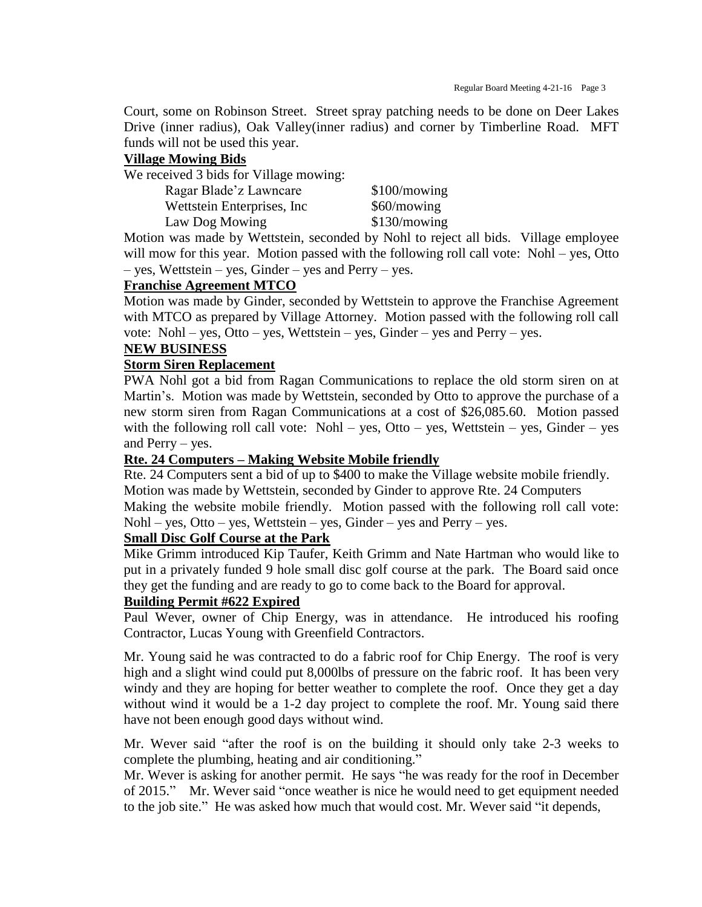Court, some on Robinson Street. Street spray patching needs to be done on Deer Lakes Drive (inner radius), Oak Valley(inner radius) and corner by Timberline Road. MFT funds will not be used this year.

## **Village Mowing Bids**

We received 3 bids for Village mowing:

| Ragar Blade'z Lawncare      | \$100/mowing |
|-----------------------------|--------------|
| Wettstein Enterprises, Inc. | \$60/mowing  |
| Law Dog Mowing              | \$130/mowing |

Motion was made by Wettstein, seconded by Nohl to reject all bids. Village employee will mow for this year. Motion passed with the following roll call vote: Nohl – yes, Otto – yes, Wettstein – yes, Ginder – yes and Perry – yes.

# **Franchise Agreement MTCO**

Motion was made by Ginder, seconded by Wettstein to approve the Franchise Agreement with MTCO as prepared by Village Attorney. Motion passed with the following roll call vote: Nohl – yes, Otto – yes, Wettstein – yes, Ginder – yes and Perry – yes.

#### **NEW BUSINESS**

## **Storm Siren Replacement**

PWA Nohl got a bid from Ragan Communications to replace the old storm siren on at Martin's. Motion was made by Wettstein, seconded by Otto to approve the purchase of a new storm siren from Ragan Communications at a cost of \$26,085.60. Motion passed with the following roll call vote: Nohl – yes, Otto – yes, Wettstein – yes, Ginder – yes and Perry – yes.

## **Rte. 24 Computers – Making Website Mobile friendly**

Rte. 24 Computers sent a bid of up to \$400 to make the Village website mobile friendly. Motion was made by Wettstein, seconded by Ginder to approve Rte. 24 Computers

Making the website mobile friendly. Motion passed with the following roll call vote:  $Nohl - yes$ ,  $Otto - yes$ , Wettstein – yes,  $Ginder - yes$  and  $Perry - yes$ .

#### **Small Disc Golf Course at the Park**

Mike Grimm introduced Kip Taufer, Keith Grimm and Nate Hartman who would like to put in a privately funded 9 hole small disc golf course at the park. The Board said once they get the funding and are ready to go to come back to the Board for approval.

#### **Building Permit #622 Expired**

Paul Wever, owner of Chip Energy, was in attendance. He introduced his roofing Contractor, Lucas Young with Greenfield Contractors.

Mr. Young said he was contracted to do a fabric roof for Chip Energy. The roof is very high and a slight wind could put 8,000lbs of pressure on the fabric roof. It has been very windy and they are hoping for better weather to complete the roof. Once they get a day without wind it would be a 1-2 day project to complete the roof. Mr. Young said there have not been enough good days without wind.

Mr. Wever said "after the roof is on the building it should only take 2-3 weeks to complete the plumbing, heating and air conditioning."

Mr. Wever is asking for another permit. He says "he was ready for the roof in December of 2015." Mr. Wever said "once weather is nice he would need to get equipment needed to the job site." He was asked how much that would cost. Mr. Wever said "it depends,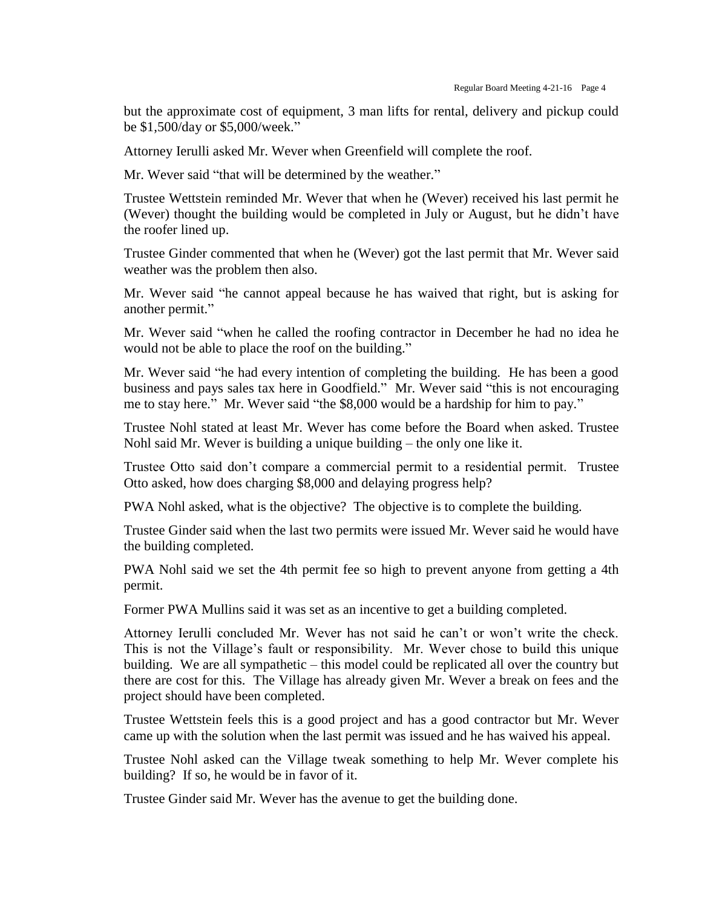but the approximate cost of equipment, 3 man lifts for rental, delivery and pickup could be \$1,500/day or \$5,000/week."

Attorney Ierulli asked Mr. Wever when Greenfield will complete the roof.

Mr. Wever said "that will be determined by the weather."

Trustee Wettstein reminded Mr. Wever that when he (Wever) received his last permit he (Wever) thought the building would be completed in July or August, but he didn't have the roofer lined up.

Trustee Ginder commented that when he (Wever) got the last permit that Mr. Wever said weather was the problem then also.

Mr. Wever said "he cannot appeal because he has waived that right, but is asking for another permit."

Mr. Wever said "when he called the roofing contractor in December he had no idea he would not be able to place the roof on the building."

Mr. Wever said "he had every intention of completing the building. He has been a good business and pays sales tax here in Goodfield." Mr. Wever said "this is not encouraging me to stay here." Mr. Wever said "the \$8,000 would be a hardship for him to pay."

Trustee Nohl stated at least Mr. Wever has come before the Board when asked. Trustee Nohl said Mr. Wever is building a unique building – the only one like it.

Trustee Otto said don't compare a commercial permit to a residential permit. Trustee Otto asked, how does charging \$8,000 and delaying progress help?

PWA Nohl asked, what is the objective? The objective is to complete the building.

Trustee Ginder said when the last two permits were issued Mr. Wever said he would have the building completed.

PWA Nohl said we set the 4th permit fee so high to prevent anyone from getting a 4th permit.

Former PWA Mullins said it was set as an incentive to get a building completed.

Attorney Ierulli concluded Mr. Wever has not said he can't or won't write the check. This is not the Village's fault or responsibility. Mr. Wever chose to build this unique building. We are all sympathetic – this model could be replicated all over the country but there are cost for this. The Village has already given Mr. Wever a break on fees and the project should have been completed.

Trustee Wettstein feels this is a good project and has a good contractor but Mr. Wever came up with the solution when the last permit was issued and he has waived his appeal.

Trustee Nohl asked can the Village tweak something to help Mr. Wever complete his building? If so, he would be in favor of it.

Trustee Ginder said Mr. Wever has the avenue to get the building done.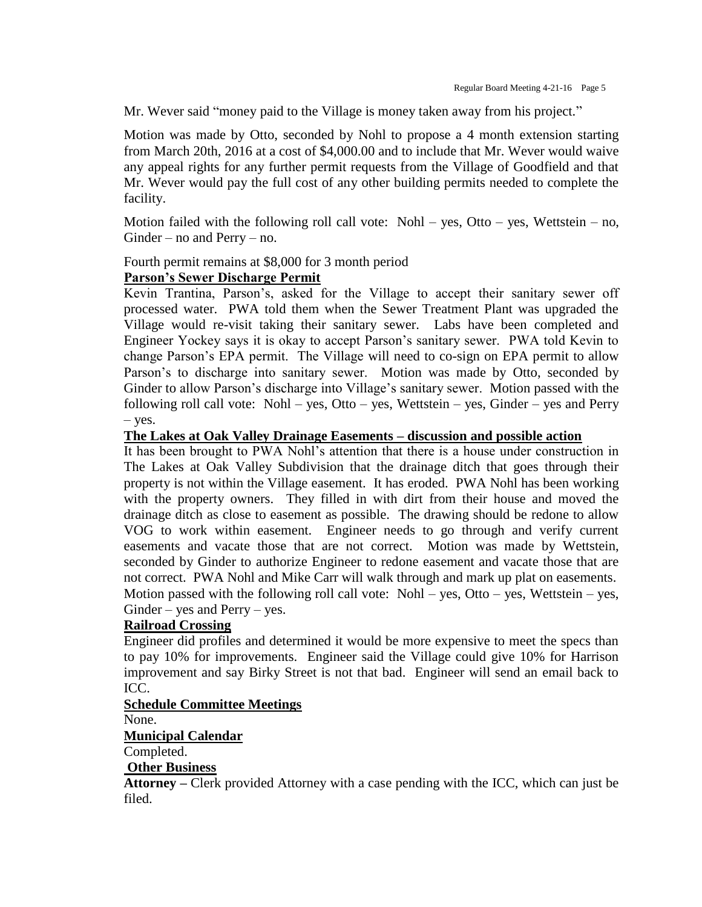Mr. Wever said "money paid to the Village is money taken away from his project."

Motion was made by Otto, seconded by Nohl to propose a 4 month extension starting from March 20th, 2016 at a cost of \$4,000.00 and to include that Mr. Wever would waive any appeal rights for any further permit requests from the Village of Goodfield and that Mr. Wever would pay the full cost of any other building permits needed to complete the facility.

Motion failed with the following roll call vote: Nohl – yes, Otto – yes, Wettstein – no, Ginder – no and Perry – no.

Fourth permit remains at \$8,000 for 3 month period

# **Parson's Sewer Discharge Permit**

Kevin Trantina, Parson's, asked for the Village to accept their sanitary sewer off processed water. PWA told them when the Sewer Treatment Plant was upgraded the Village would re-visit taking their sanitary sewer. Labs have been completed and Engineer Yockey says it is okay to accept Parson's sanitary sewer. PWA told Kevin to change Parson's EPA permit. The Village will need to co-sign on EPA permit to allow Parson's to discharge into sanitary sewer. Motion was made by Otto, seconded by Ginder to allow Parson's discharge into Village's sanitary sewer. Motion passed with the following roll call vote: Nohl – yes, Otto – yes, Wettstein – yes, Ginder – yes and Perry – yes.

#### **The Lakes at Oak Valley Drainage Easements – discussion and possible action**

It has been brought to PWA Nohl's attention that there is a house under construction in The Lakes at Oak Valley Subdivision that the drainage ditch that goes through their property is not within the Village easement. It has eroded. PWA Nohl has been working with the property owners. They filled in with dirt from their house and moved the drainage ditch as close to easement as possible. The drawing should be redone to allow VOG to work within easement. Engineer needs to go through and verify current easements and vacate those that are not correct. Motion was made by Wettstein, seconded by Ginder to authorize Engineer to redone easement and vacate those that are not correct. PWA Nohl and Mike Carr will walk through and mark up plat on easements. Motion passed with the following roll call vote: Nohl – yes, Otto – yes, Wettstein – yes,  $Ginder - yes$  and  $Perry - yes$ .

#### **Railroad Crossing**

Engineer did profiles and determined it would be more expensive to meet the specs than to pay 10% for improvements. Engineer said the Village could give 10% for Harrison improvement and say Birky Street is not that bad. Engineer will send an email back to ICC.

# **Schedule Committee Meetings**

None.

# **Municipal Calendar**

Completed.

# **Other Business**

**Attorney –** Clerk provided Attorney with a case pending with the ICC, which can just be filed.